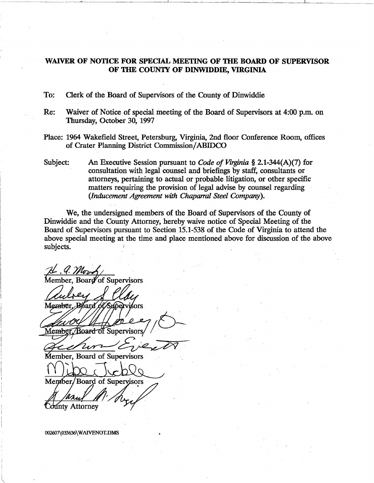# WAIVER OF NOTICE FOR SPECIAL MEETING OF THE BOARD OF SUPERVISOR OF THE COUNTY OF DINWIDDIE, VIRGINIA

To: Clerk of the Board of Supervisors of the County of Dinwiddie

- Re: Waiver of Notice of special meeting of the Board of Supervisors at 4:00 p.m. on Thursday, October 30, 1997
- Place: 1964 Wakefield Street, Petersburg, Virginia, 2nd floor Conference Room, offices of Crater Planning District Commission/ABIDCO
- Subject: An Executive Session pursuant to *C04e of Virginia* § 2.1-344(A)(7) for consultation with legal counsel and briefings by staff, consultants or attorneys, pertaining to actual or probable litigation, or other specific matters requiring the provision of legal advise by counsel regarding *(Inducement Agreement with Chaparral Steel Company).*

We, the undersigned members of the Board of Supervisors of the County of Dinwiddie and the County Attorney, hereby waive notice of Special Meeting of the Board of Supervisors pursuant to Section 15.1-538 of the Code of Virginia to attend the above special meeting at the time and place mentioned above for discussion of the above subjects.

Member, Board of Supervisors

Member. Bóard **1ú ervisors** 

Membei Supervisors

Member, Board of Supervisors

Board of Supervisors Member.

**County Attorney** 

002607\035636\ WAIVENOT.DMS

 $\overline{\mathcal{C}}$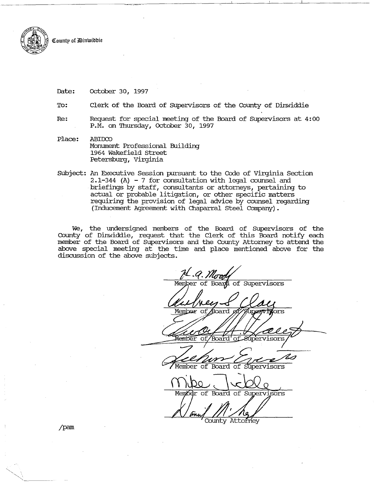County of *D*inwiddie

Date: October 30, 1997

To: Clerk of the Board of Supervisors of the County of Dinwiddie

Re: Request for special meeting of the Board of Supervisors at 4: 00 P.M. on Thursday, October 3D, 1997

Place: ABIDCO Monument Professional Building 1964 Wakefield street Petersburg, Virginia

Subject: An Executive Session pursuant to the Code of Virginia Section 2.1-344 (A) - 7 for consultation with legal counsel and briefings by staff, consultants or attorneys, pertaining to actual or probable litigation, or other specific matters requiring the provision of legal advice by counsel regarding (Inducement Agreement with Chaparral Steel Company).

We, the undersigned members of the Board of supervisors of the County of Dinwiddie, request that the Clerk of this Board notify each member of the Board of supervisors and the County Attorney to attend the above special meeting at the time and place mentioned above for the discussion of the above subjects.

Member of Board of Supervisors Member ors: Member of 'Board' оf Member of Board of ervisors of Board of Supervisors Member

County Attorney

jpam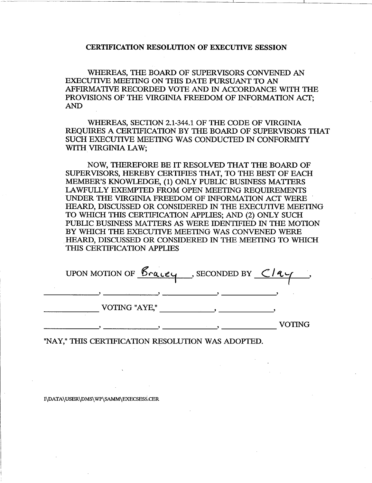#### CERTIFICATION RESOLUTION OF EXECUTIVE SESSION

WHEREAS, THE BOARD OF SUPERVISORS CONVENED AN EXECUTIVE MEETING ON THIS DATE PURSUANT TO AN AFFIRMATIVE RECORDED VOTE AND IN ACCORDANCE WITH THE PROVISIONS OF THE VIRGINIA FREEDOM OF INFORMATION ACT; AND

WHEREAS, SECTION 2.1-344.1 OF THE CODE OF VIRGINIA REQUIRES A CERTIFICATION BY THE BOARD OF SUPERVISORS THAT SUCH EXECUTIVE MEETING WAS CONDUCTED IN CONFORMITY WITH VIRGINIA LAW:

NOW, THEREFORE BE IT RESOLVED THAT THE BOARD OF SUPERVISORS, HEREBY CERTIFIES THAT, TO THE BEST OF EACH MEMBER'S KNOWLEDGE, (1) ONLY PUBLIC BUSINESS MATTERS LAWFULLY EXEMPTED FROM OPEN MEETING REQUIREMENTS UNDER THE VIRGINIA FREEDOM OF INFORMATION ACT WERE . HEARD, DISCUSSED OR CONSIDERED IN THE EXECUTIVE MEETING TO WHICH THIS CERTIFICATION APPLIES; AND (2) ONLY SUCH PUBLIC BUSINESS MATTERS AS WERE IDENTIFIED IN THE MOTION BY WHICH THE EXECUTIVE MEETING WAS CONVENED WERE .HEARD, DISCUSSED OR CONSIDERED IN THE MEETING TO WHICH THIS CERTIFICATION APPLIES

| UPON MOTION OF $\mathcal{B}_{\text{rauge}}$ , SECONDED BY $\text{C}_{\text{lav}}$ |  |        |
|-----------------------------------------------------------------------------------|--|--------|
|                                                                                   |  |        |
| VOTING "AYE,"                                                                     |  |        |
|                                                                                   |  | VOTING |

"NAY," THIS CERTIFICATION RESOLUTION WAS ADOPTED.

I\DATA \ USER\DMS\ WP\SAMM\EXECSESS.CER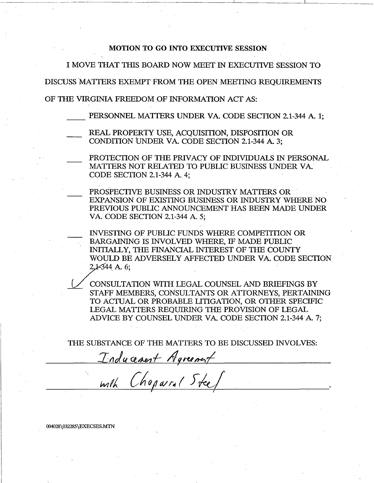## MOTION TO GO INTO EXECUTIVE SESSION

I MOVE THAT THIS BOARD NOW MEET IN EXECUTIVE SESSION TO

DISCUSS'MATIERS EXEMPT FROM THE OPEN MEETING REQUIREMENTS

OF THE VIRGINIA FREEDOM OF INFORMATION ACT AS:

PERSONNEL MATTERS UNDER VA. CODE SECTION 2.1-344 A. 1;

- REAL PROPERTY USE, ACOUISITION, DISPOSITION OR CONDITION UNDER VA. CODE SECTION 2.1-344 A 3;
- PROTECTION OF THE PRIVACY OF INDIVIDUALS IN PERSONAL MATIERS NOT RELATED TO PUBLIC BUSINESS UNDER VA. CODE SECTION 2.1-344 A. 4;
	- PROSPECTIVE BUSINESS OR INDUSTRY MATIERS OR EXPANSION OF EXISTING BUSINESS OR INDUSTRY WHERE NO PREVIOUS PUBLIC ANNOUNCEMENT HAS BEEN MADE UNDER VA. CODE SECTION 2.1-344 A. 5;
	- INVESTING OF PUBLIC FUNDS WHERE COMPETITION OR BARGAINING IS INVOLVED WHERE, IF MADE PUBLIC INITIALLY, THE FINANCIAL INTEREST OF THE COUNTY WALD BE ANNOUNCEMENT THIS BEEN MADE UNDER VA. CODE SECTION 2.1-344 A. 5;<br>INVESTING OF PUBLIC FUNDS WHERE COMPETITION OR<br>BARGAINING IS INVOLVED WHERE, IF MADE PUBLIC<br>INITIALLY, THE FINANCIAL INTEREST OF THE COUNTY<br>WOULD BE

CONSULTATION WITH LEGAL, COUNSEL AND BRIEFINGS BY STAFF MEMBERS, CONSULTANTS OR ATTORNEYS, PERTAINING TO ACTUAL OR PROBABLE LITIGATION, OR OTHER SPECIFIC LEGAL MATIERS REQUIRING THE PROVISION OF LEGAL ADVICE BY COUNSEL UNDER VA. CODE SECTION 2.1-344A. 7;

THE SUBSTANCE OF THE MATIERS TO BE DISCUSSED INVOLVES:

Inducement Agreement <u>with Chaparal Iteel</u>

004028\032285\EXECSES.MTN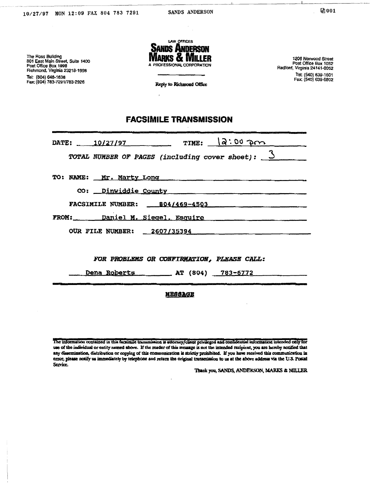1206 Norwood Street Post Office Box 1052<br>Post Office Box 1052<br>Radford, Virginia 24141-0052

Tel: (540) 639-1601<br>Fax: (540) 639-6602

The Ross Building<br>801 East Main Street, Suite 1400<br>Post Office Box 1998<br>Richmond, Virginia 23218-1998 Tel: (804) 646-1636<br>Fax: (804) 783-7291/783-2926



Reply to Richmond Office

 $\mathbf{r}$ 

# **FACSIMILE TRANSMISSION**

| DATE: 10/27/97 TIME: $2.00$ Pm                        |  |  |  |
|-------------------------------------------------------|--|--|--|
| TOTAL NUMBER OF PAGES (including cover sheet): $3$    |  |  |  |
| TO: NAME: Mr. Marty Long                              |  |  |  |
| CO: Dinwiddie County                                  |  |  |  |
| FACSIMILE NUMBER: 804/469-4503                        |  |  |  |
| FROM: Daniel M. Siegel, Esquire                       |  |  |  |
| OUR FILE NUMBER: 2607/35394                           |  |  |  |
|                                                       |  |  |  |
| FOR PROBLEMS OR CONFIRMATION, PLEASE CALL:            |  |  |  |
| Dena Roberts ___________ AT (804) __ 783-6772 _______ |  |  |  |
| <b>MESSAGE</b>                                        |  |  |  |

The information contained in this factimile transmission is attorney/client privileged and confidential information intended only for use of the individual or entity named above. If the reader of this message is not the intended recipicut, you are hereby notified that any dissemination, distribution or copying of this communication is strictly prohibited. If you have received this communication in error, please notify us immediately by telephone and return the original transmission to us at the above address via the U.S. Postal Service.

Thank you, SANDS, ANDERSON, MARKS & MILLER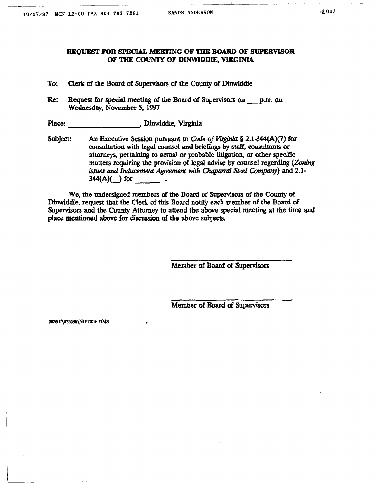### REQUEST FOR SPECIAL MEETING OF THE BOARD OF SUPERVISOR OF THE COUNTY OF DINWIDDIE, VIRGINIA

- To: Clerk of the Board of Supervisors of the County of Dinwiddie
- Re: Request for special meeting of the Board of Supervisors on \_ p.m. on Wednesday, November 5, 1997

Place: , Dinwiddie, Virginia

Subject: An Executive Session pursuant to *Code of Yuginia* § 2.1-344(A)(7) for consultation with legal counsel and briefings by staff, consultants or attorneys, pertaining to actual or probable litigation, or other specific matters requiring the provision of legal advise by counsel regarding (Zoning issues and *Inducement Agreement with* Chaparral *Steel Company)* and 2.1- 344(A)U for \_\_ \_

We, the undersigned members of the Board of Supervisors of the County of Dinwiddie, request that the Clerk of this Board notify each member of the Board of Supervisors and the County Attorney to attend the above special meeting at the time and place mentioned above for discussion of the above subjects.

Member of Board of Supervisors

Member of Board of Supervisors

002607\035636\NOTICE.DMS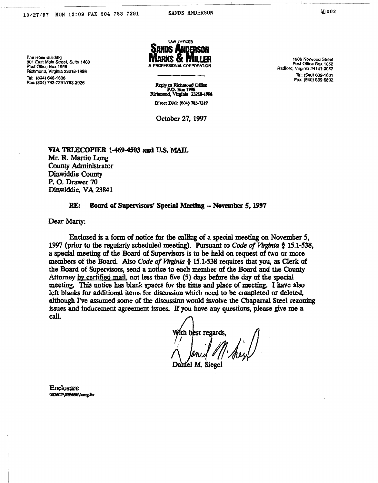The Ross Building 801 East Main Street, Suite 1400 Post Office Box 1998 Richmond, Virginia 23218-1998

Tel: (804) 648-1636 Fax: (804) 783-7291/783-2926



SANDS ANDERSON

Reply to Richmond Office P.O. Box 1998<br>Richmond, Virginia 23218-1998 Direct Dial: (804) 783-7219

October 27, 1997

1206 Norwood Street Post Office Box 1052 Radford, Virginia 24141-0052 Tel: (540) 639-1601 Fax: (540) 639-6802

VIA TELECOPIER 1-469-4503 and U.S. MAIL Mr. R. Martin Long **County Administrator** Dinwiddie County P.O. Drawer 70 Dinwiddie, VA 23841

#### Board of Supervisors' Special Meeting -- November 5, 1997 RE.

Dear Marty:

Enclosed is a form of notice for the calling of a special meeting on November 5. 1997 (prior to the regularly scheduled meeting). Pursuant to Code of Virginia § 15.1-538, a special meeting of the Board of Supervisors is to be held on request of two or more members of the Board. Also Code of Virginia § 15.1-538 requires that you, as Clerk of the Board of Supervisors, send a notice to each member of the Board and the County Attorney by certified mail, not less than five (5) days before the day of the special meeting. This notice has blank spaces for the time and place of meeting. I have also left blanks for additional items for discussion which need to be completed or deleted, although I've assumed some of the discussion would involve the Chaparral Steel rezoning issues and inducement agreement issues. If you have any questions, please give me a call.

ith blest regards

**Enclosure** 002607\035636\long.itx